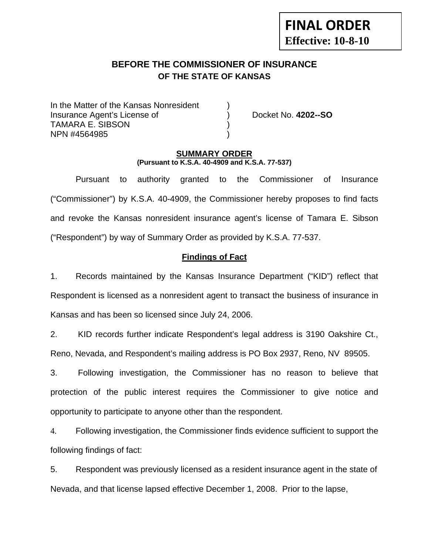# **FINAL ORDER Effective: 10-8-10**

## **BEFORE THE COMMISSIONER OF INSURANCE OF THE STATE OF KANSAS**

In the Matter of the Kansas Nonresident Insurance Agent's License of ) Docket No. **4202--SO** TAMARA E. SIBSON ) NPN #4564985 )

### **SUMMARY ORDER (Pursuant to K.S.A. 40-4909 and K.S.A. 77-537)**

 Pursuant to authority granted to the Commissioner of Insurance ("Commissioner") by K.S.A. 40-4909, the Commissioner hereby proposes to find facts and revoke the Kansas nonresident insurance agent's license of Tamara E. Sibson ("Respondent") by way of Summary Order as provided by K.S.A. 77-537.

## **Findings of Fact**

1. Records maintained by the Kansas Insurance Department ("KID") reflect that Respondent is licensed as a nonresident agent to transact the business of insurance in Kansas and has been so licensed since July 24, 2006.

2. KID records further indicate Respondent's legal address is 3190 Oakshire Ct., Reno, Nevada, and Respondent's mailing address is PO Box 2937, Reno, NV 89505.

3. Following investigation, the Commissioner has no reason to believe that protection of the public interest requires the Commissioner to give notice and opportunity to participate to anyone other than the respondent.

4. Following investigation, the Commissioner finds evidence sufficient to support the following findings of fact:

5. Respondent was previously licensed as a resident insurance agent in the state of Nevada, and that license lapsed effective December 1, 2008. Prior to the lapse,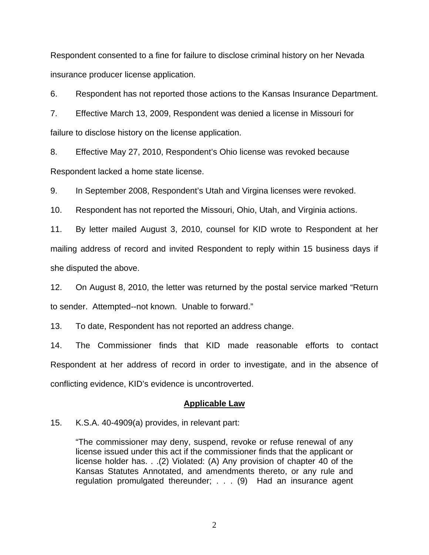Respondent consented to a fine for failure to disclose criminal history on her Nevada insurance producer license application.

6. Respondent has not reported those actions to the Kansas Insurance Department.

7. Effective March 13, 2009, Respondent was denied a license in Missouri for failure to disclose history on the license application.

8. Effective May 27, 2010, Respondent's Ohio license was revoked because Respondent lacked a home state license.

9. In September 2008, Respondent's Utah and Virgina licenses were revoked.

10. Respondent has not reported the Missouri, Ohio, Utah, and Virginia actions.

11. By letter mailed August 3, 2010, counsel for KID wrote to Respondent at her mailing address of record and invited Respondent to reply within 15 business days if she disputed the above.

12. On August 8, 2010, the letter was returned by the postal service marked "Return to sender. Attempted--not known. Unable to forward."

13. To date, Respondent has not reported an address change.

14. The Commissioner finds that KID made reasonable efforts to contact Respondent at her address of record in order to investigate, and in the absence of conflicting evidence, KID's evidence is uncontroverted.

#### **Applicable Law**

15. K.S.A. 40-4909(a) provides, in relevant part:

"The commissioner may deny, suspend, revoke or refuse renewal of any license issued under this act if the commissioner finds that the applicant or license holder has. . .(2) Violated: (A) Any provision of chapter 40 of the Kansas Statutes Annotated, and amendments thereto, or any rule and regulation promulgated thereunder; . . . (9) Had an insurance agent

2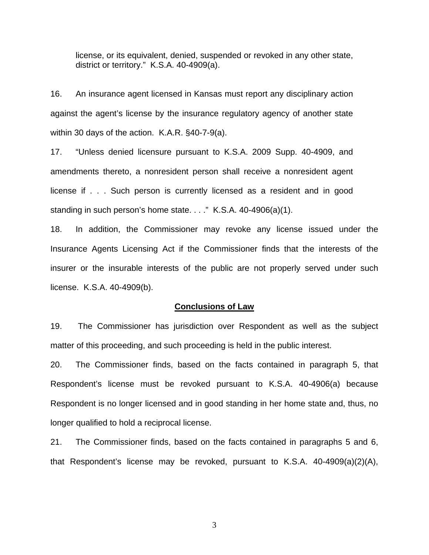license, or its equivalent, denied, suspended or revoked in any other state, district or territory." K.S.A. 40-4909(a).

16. An insurance agent licensed in Kansas must report any disciplinary action against the agent's license by the insurance regulatory agency of another state within 30 days of the action. K.A.R. §40-7-9(a).

17. "Unless denied licensure pursuant to K.S.A. 2009 Supp. 40-4909, and amendments thereto, a nonresident person shall receive a nonresident agent license if . . . Such person is currently licensed as a resident and in good standing in such person's home state. . . ." K.S.A. 40-4906(a)(1).

18. In addition, the Commissioner may revoke any license issued under the Insurance Agents Licensing Act if the Commissioner finds that the interests of the insurer or the insurable interests of the public are not properly served under such license. K.S.A. 40-4909(b).

#### **Conclusions of Law**

19. The Commissioner has jurisdiction over Respondent as well as the subject matter of this proceeding, and such proceeding is held in the public interest.

20. The Commissioner finds, based on the facts contained in paragraph 5, that Respondent's license must be revoked pursuant to K.S.A. 40-4906(a) because Respondent is no longer licensed and in good standing in her home state and, thus, no longer qualified to hold a reciprocal license.

21. The Commissioner finds, based on the facts contained in paragraphs 5 and 6, that Respondent's license may be revoked, pursuant to K.S.A. 40-4909(a)(2)(A),

3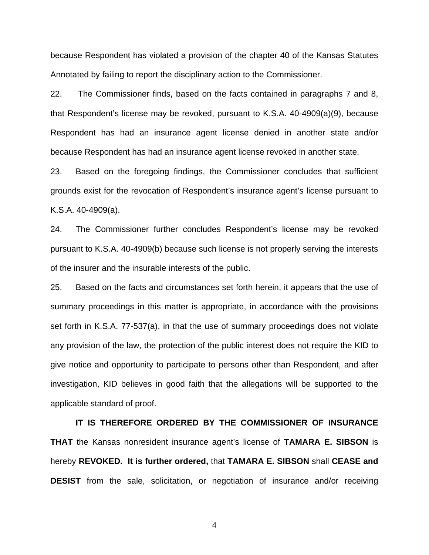because Respondent has violated a provision of the chapter 40 of the Kansas Statutes Annotated by failing to report the disciplinary action to the Commissioner.

22. The Commissioner finds, based on the facts contained in paragraphs 7 and 8, that Respondent's license may be revoked, pursuant to K.S.A. 40-4909(a)(9), because Respondent has had an insurance agent license denied in another state and/or because Respondent has had an insurance agent license revoked in another state.

23. Based on the foregoing findings, the Commissioner concludes that sufficient grounds exist for the revocation of Respondent's insurance agent's license pursuant to K.S.A. 40-4909(a).

24. The Commissioner further concludes Respondent's license may be revoked pursuant to K.S.A. 40-4909(b) because such license is not properly serving the interests of the insurer and the insurable interests of the public.

25. Based on the facts and circumstances set forth herein, it appears that the use of summary proceedings in this matter is appropriate, in accordance with the provisions set forth in K.S.A. 77-537(a), in that the use of summary proceedings does not violate any provision of the law, the protection of the public interest does not require the KID to give notice and opportunity to participate to persons other than Respondent, and after investigation, KID believes in good faith that the allegations will be supported to the applicable standard of proof.

 **IT IS THEREFORE ORDERED BY THE COMMISSIONER OF INSURANCE THAT** the Kansas nonresident insurance agent's license of **TAMARA E. SIBSON** is hereby **REVOKED. It is further ordered,** that **TAMARA E. SIBSON** shall **CEASE and DESIST** from the sale, solicitation, or negotiation of insurance and/or receiving

4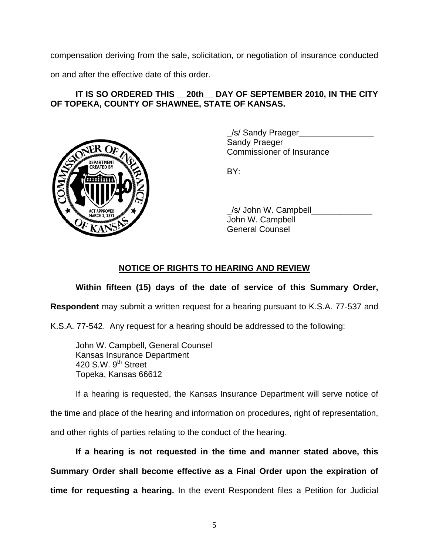compensation deriving from the sale, solicitation, or negotiation of insurance conducted

on and after the effective date of this order.

## IT IS SO ORDERED THIS 20th DAY OF SEPTEMBER 2010, IN THE CITY **OF TOPEKA, COUNTY OF SHAWNEE, STATE OF KANSAS.**



/s/ Sandy Praeger Sandy Praeger Commissioner of Insurance

 \_/s/ John W. Campbell\_\_\_\_\_\_\_\_\_\_\_\_\_ John W. Campbell General Counsel

## **NOTICE OF RIGHTS TO HEARING AND REVIEW**

## **Within fifteen (15) days of the date of service of this Summary Order,**

**Respondent** may submit a written request for a hearing pursuant to K.S.A. 77-537 and

K.S.A. 77-542. Any request for a hearing should be addressed to the following:

 John W. Campbell, General Counsel Kansas Insurance Department 420 S.W.  $9<sup>th</sup>$  Street Topeka, Kansas 66612

If a hearing is requested, the Kansas Insurance Department will serve notice of

the time and place of the hearing and information on procedures, right of representation,

and other rights of parties relating to the conduct of the hearing.

**If a hearing is not requested in the time and manner stated above, this Summary Order shall become effective as a Final Order upon the expiration of time for requesting a hearing.** In the event Respondent files a Petition for Judicial